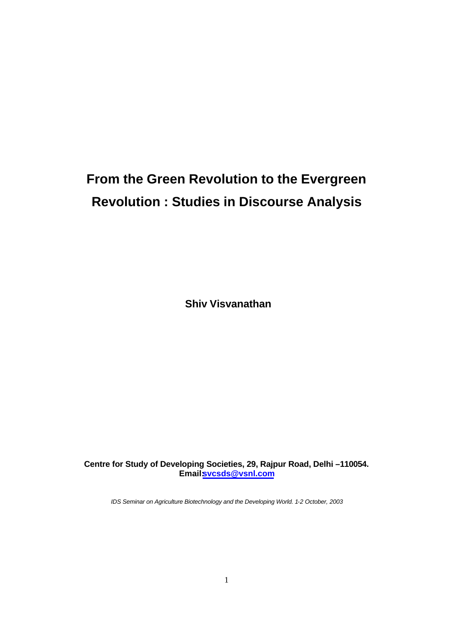## **From the Green Revolution to the Evergreen Revolution : Studies in Discourse Analysis**

 **Shiv Visvanathan**

**Centre for Study of Developing Societies, 29, Rajpur Road, Delhi –110054. Email:svcsds@vsnl.com**

*IDS Seminar on Agriculture Biotechnology and the Developing World. 1-2 October, 2003*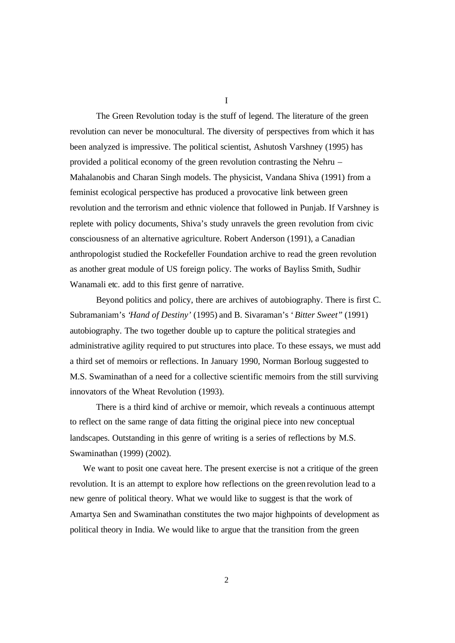I

The Green Revolution today is the stuff of legend. The literature of the green revolution can never be monocultural. The diversity of perspectives from which it has been analyzed is impressive. The political scientist, Ashutosh Varshney (1995) has provided a political economy of the green revolution contrasting the Nehru – Mahalanobis and Charan Singh models. The physicist, Vandana Shiva (1991) from a feminist ecological perspective has produced a provocative link between green revolution and the terrorism and ethnic violence that followed in Punjab. If Varshney is replete with policy documents, Shiva's study unravels the green revolution from civic consciousness of an alternative agriculture. Robert Anderson (1991), a Canadian anthropologist studied the Rockefeller Foundation archive to read the green revolution as another great module of US foreign policy. The works of Bayliss Smith, Sudhir Wanamali etc. add to this first genre of narrative.

Beyond politics and policy, there are archives of autobiography. There is first C. Subramaniam's '*Hand of Destiny'* (1995) and B. Sivaraman's '*Bitter Sweet"* (1991) autobiography. The two together double up to capture the political strategies and administrative agility required to put structures into place. To these essays, we must add a third set of memoirs or reflections. In January 1990, Norman Borloug suggested to M.S. Swaminathan of a need for a collective scientific memoirs from the still surviving innovators of the Wheat Revolution (1993).

There is a third kind of archive or memoir, which reveals a continuous attempt to reflect on the same range of data fitting the original piece into new conceptual landscapes. Outstanding in this genre of writing is a series of reflections by M.S. Swaminathan (1999) (2002).

We want to posit one caveat here. The present exercise is not a critique of the green revolution. It is an attempt to explore how reflections on the green revolution lead to a new genre of political theory. What we would like to suggest is that the work of Amartya Sen and Swaminathan constitutes the two major highpoints of development as political theory in India. We would like to argue that the transition from the green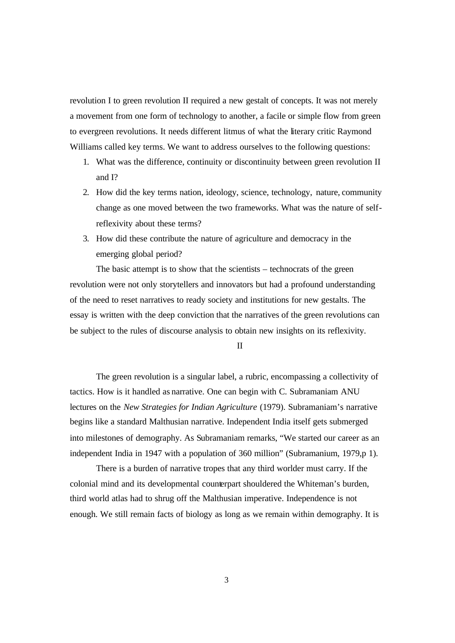revolution I to green revolution II required a new gestalt of concepts. It was not merely a movement from one form of technology to another, a facile or simple flow from green to evergreen revolutions. It needs different litmus of what the literary critic Raymond Williams called key terms. We want to address ourselves to the following questions:

- 1. What was the difference, continuity or discontinuity between green revolution II and I?
- 2. How did the key terms nation, ideology, science, technology, nature, community change as one moved between the two frameworks. What was the nature of selfreflexivity about these terms?
- 3. How did these contribute the nature of agriculture and democracy in the emerging global period?

The basic attempt is to show that the scientists – technocrats of the green revolution were not only storytellers and innovators but had a profound understanding of the need to reset narratives to ready society and institutions for new gestalts. The essay is written with the deep conviction that the narratives of the green revolutions can be subject to the rules of discourse analysis to obtain new insights on its reflexivity.

II

The green revolution is a singular label, a rubric, encompassing a collectivity of tactics. How is it handled as narrative. One can begin with C. Subramaniam ANU lectures on the *New Strategies for Indian Agriculture* (1979). Subramaniam's narrative begins like a standard Malthusian narrative. Independent India itself gets submerged into milestones of demography. As Subramaniam remarks, "We started our career as an independent India in 1947 with a population of 360 million" (Subramanium, 1979,p 1).

There is a burden of narrative tropes that any third worlder must carry. If the colonial mind and its developmental counterpart shouldered the Whiteman's burden, third world atlas had to shrug off the Malthusian imperative. Independence is not enough. We still remain facts of biology as long as we remain within demography. It is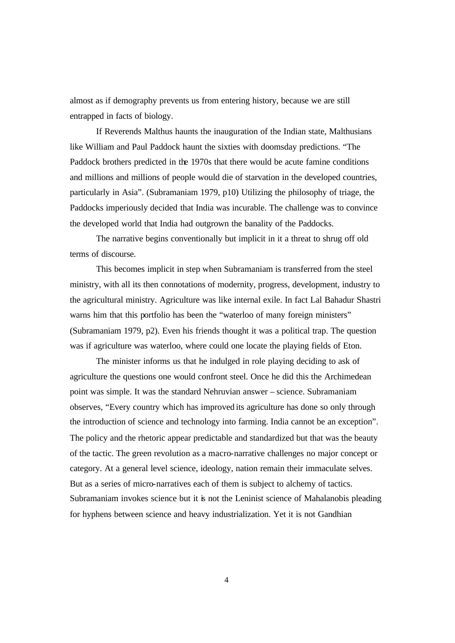almost as if demography prevents us from entering history, because we are still entrapped in facts of biology.

If Reverends Malthus haunts the inauguration of the Indian state, Malthusians like William and Paul Paddock haunt the sixties with doomsday predictions. "The Paddock brothers predicted in the 1970s that there would be acute famine conditions and millions and millions of people would die of starvation in the developed countries, particularly in Asia". (Subramaniam 1979, p10) Utilizing the philosophy of triage, the Paddocks imperiously decided that India was incurable. The challenge was to convince the developed world that India had outgrown the banality of the Paddocks.

The narrative begins conventionally but implicit in it a threat to shrug off old terms of discourse.

This becomes implicit in step when Subramaniam is transferred from the steel ministry, with all its then connotations of modernity, progress, development, industry to the agricultural ministry. Agriculture was like internal exile. In fact Lal Bahadur Shastri warns him that this portfolio has been the "waterloo of many foreign ministers" (Subramaniam 1979, p2). Even his friends thought it was a political trap. The question was if agriculture was waterloo, where could one locate the playing fields of Eton.

The minister informs us that he indulged in role playing deciding to ask of agriculture the questions one would confront steel. Once he did this the Archimedean point was simple. It was the standard Nehruvian answer – science. Subramaniam observes, "Every country which has improved its agriculture has done so only through the introduction of science and technology into farming. India cannot be an exception". The policy and the rhetoric appear predictable and standardized but that was the beauty of the tactic. The green revolution as a macro-narrative challenges no major concept or category. At a general level science, ideology, nation remain their immaculate selves. But as a series of micro-narratives each of them is subject to alchemy of tactics. Subramaniam invokes science but it is not the Leninist science of Mahalanobis pleading for hyphens between science and heavy industrialization. Yet it is not Gandhian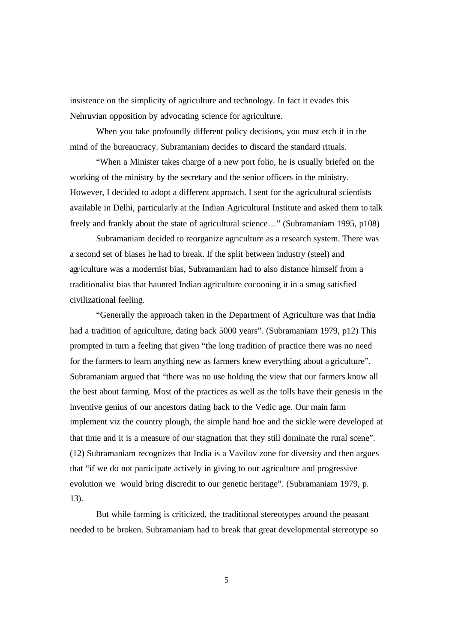insistence on the simplicity of agriculture and technology. In fact it evades this Nehruvian opposition by advocating science for agriculture.

When you take profoundly different policy decisions, you must etch it in the mind of the bureaucracy. Subramaniam decides to discard the standard rituals.

"When a Minister takes charge of a new port folio, he is usually briefed on the working of the ministry by the secretary and the senior officers in the ministry. However, I decided to adopt a different approach. I sent for the agricultural scientists available in Delhi, particularly at the Indian Agricultural Institute and asked them to talk freely and frankly about the state of agricultural science…" (Subramaniam 1995, p108)

Subramaniam decided to reorganize agriculture as a research system. There was a second set of biases he had to break. If the split between industry (steel) and agriculture was a modernist bias, Subramaniam had to also distance himself from a traditionalist bias that haunted Indian agriculture cocooning it in a smug satisfied civilizational feeling.

"Generally the approach taken in the Department of Agriculture was that India had a tradition of agriculture, dating back 5000 years". (Subramaniam 1979, p12) This prompted in turn a feeling that given "the long tradition of practice there was no need for the farmers to learn anything new as farmers knew everything about agriculture". Subramaniam argued that "there was no use holding the view that our farmers know all the best about farming. Most of the practices as well as the tolls have their genesis in the inventive genius of our ancestors dating back to the Vedic age. Our main farm implement viz the country plough, the simple hand hoe and the sickle were developed at that time and it is a measure of our stagnation that they still dominate the rural scene". (12) Subramaniam recognizes that India is a Vavilov zone for diversity and then argues that "if we do not participate actively in giving to our agriculture and progressive evolution we would bring discredit to our genetic heritage". (Subramaniam 1979, p. 13).

But while farming is criticized, the traditional stereotypes around the peasant needed to be broken. Subramaniam had to break that great developmental stereotype so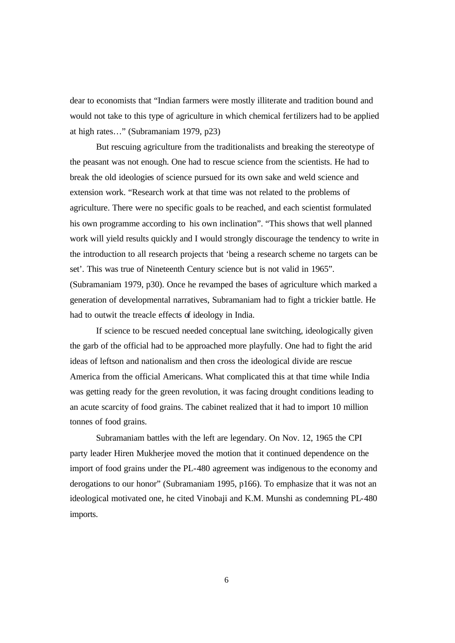dear to economists that "Indian farmers were mostly illiterate and tradition bound and would not take to this type of agriculture in which chemical fertilizers had to be applied at high rates…" (Subramaniam 1979, p23)

But rescuing agriculture from the traditionalists and breaking the stereotype of the peasant was not enough. One had to rescue science from the scientists. He had to break the old ideologies of science pursued for its own sake and weld science and extension work. "Research work at that time was not related to the problems of agriculture. There were no specific goals to be reached, and each scientist formulated his own programme according to his own inclination". "This shows that well planned work will yield results quickly and I would strongly discourage the tendency to write in the introduction to all research projects that 'being a research scheme no targets can be set'. This was true of Nineteenth Century science but is not valid in 1965". (Subramaniam 1979, p30). Once he revamped the bases of agriculture which marked a generation of developmental narratives, Subramaniam had to fight a trickier battle. He had to outwit the treacle effects of ideology in India.

If science to be rescued needed conceptual lane switching, ideologically given the garb of the official had to be approached more playfully. One had to fight the arid ideas of leftson and nationalism and then cross the ideological divide are rescue America from the official Americans. What complicated this at that time while India was getting ready for the green revolution, it was facing drought conditions leading to an acute scarcity of food grains. The cabinet realized that it had to import 10 million tonnes of food grains.

Subramaniam battles with the left are legendary. On Nov. 12, 1965 the CPI party leader Hiren Mukherjee moved the motion that it continued dependence on the import of food grains under the PL-480 agreement was indigenous to the economy and derogations to our honor" (Subramaniam 1995, p166). To emphasize that it was not an ideological motivated one, he cited Vinobaji and K.M. Munshi as condemning PL-480 imports.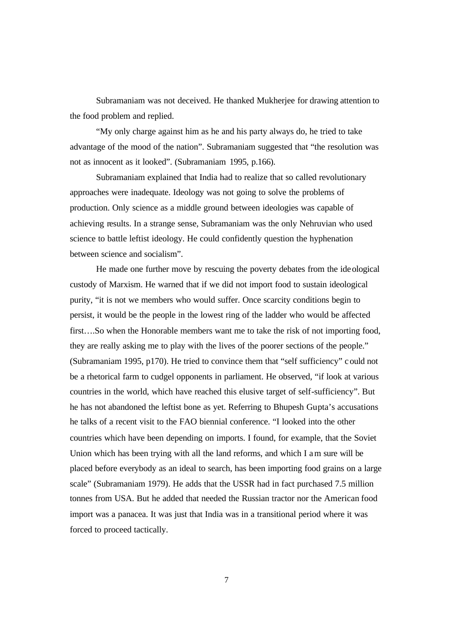Subramaniam was not deceived. He thanked Mukherjee for drawing attention to the food problem and replied.

"My only charge against him as he and his party always do, he tried to take advantage of the mood of the nation". Subramaniam suggested that "the resolution was not as innocent as it looked". (Subramaniam 1995, p.166).

Subramaniam explained that India had to realize that so called revolutionary approaches were inadequate. Ideology was not going to solve the problems of production. Only science as a middle ground between ideologies was capable of achieving results. In a strange sense, Subramaniam was the only Nehruvian who used science to battle leftist ideology. He could confidently question the hyphenation between science and socialism".

He made one further move by rescuing the poverty debates from the ideological custody of Marxism. He warned that if we did not import food to sustain ideological purity, "it is not we members who would suffer. Once scarcity conditions begin to persist, it would be the people in the lowest ring of the ladder who would be affected first….So when the Honorable members want me to take the risk of not importing food, they are really asking me to play with the lives of the poorer sections of the people." (Subramaniam 1995, p170). He tried to convince them that "self sufficiency" could not be a rhetorical farm to cudgel opponents in parliament. He observed, "if look at various countries in the world, which have reached this elusive target of self-sufficiency". But he has not abandoned the leftist bone as yet. Referring to Bhupesh Gupta's accusations he talks of a recent visit to the FAO biennial conference. "I looked into the other countries which have been depending on imports. I found, for example, that the Soviet Union which has been trying with all the land reforms, and which I am sure will be placed before everybody as an ideal to search, has been importing food grains on a large scale" (Subramaniam 1979). He adds that the USSR had in fact purchased 7.5 million tonnes from USA. But he added that needed the Russian tractor nor the American food import was a panacea. It was just that India was in a transitional period where it was forced to proceed tactically.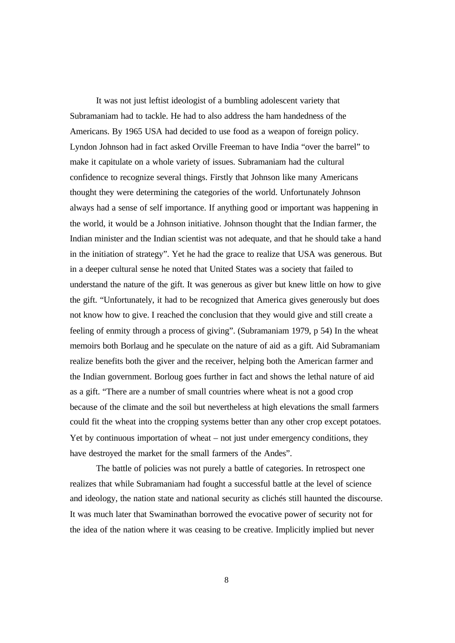It was not just leftist ideologist of a bumbling adolescent variety that Subramaniam had to tackle. He had to also address the ham handedness of the Americans. By 1965 USA had decided to use food as a weapon of foreign policy. Lyndon Johnson had in fact asked Orville Freeman to have India "over the barrel" to make it capitulate on a whole variety of issues. Subramaniam had the cultural confidence to recognize several things. Firstly that Johnson like many Americans thought they were determining the categories of the world. Unfortunately Johnson always had a sense of self importance. If anything good or important was happening in the world, it would be a Johnson initiative. Johnson thought that the Indian farmer, the Indian minister and the Indian scientist was not adequate, and that he should take a hand in the initiation of strategy". Yet he had the grace to realize that USA was generous. But in a deeper cultural sense he noted that United States was a society that failed to understand the nature of the gift. It was generous as giver but knew little on how to give the gift. "Unfortunately, it had to be recognized that America gives generously but does not know how to give. I reached the conclusion that they would give and still create a feeling of enmity through a process of giving". (Subramaniam 1979, p 54) In the wheat memoirs both Borlaug and he speculate on the nature of aid as a gift. Aid Subramaniam realize benefits both the giver and the receiver, helping both the American farmer and the Indian government. Borloug goes further in fact and shows the lethal nature of aid as a gift. "There are a number of small countries where wheat is not a good crop because of the climate and the soil but nevertheless at high elevations the small farmers could fit the wheat into the cropping systems better than any other crop except potatoes. Yet by continuous importation of wheat – not just under emergency conditions, they have destroyed the market for the small farmers of the Andes".

The battle of policies was not purely a battle of categories. In retrospect one realizes that while Subramaniam had fought a successful battle at the level of science and ideology, the nation state and national security as clichés still haunted the discourse. It was much later that Swaminathan borrowed the evocative power of security not for the idea of the nation where it was ceasing to be creative. Implicitly implied but never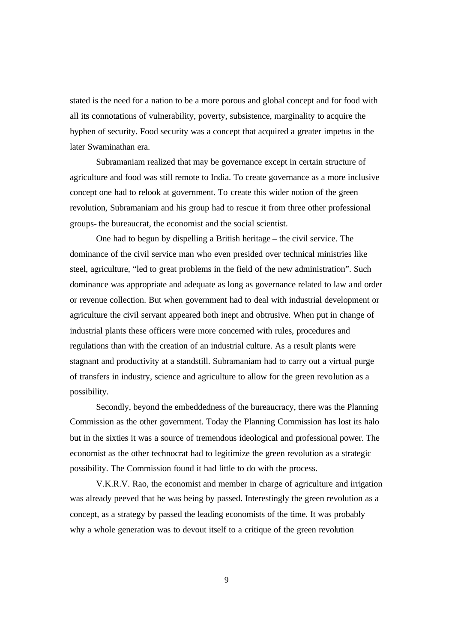stated is the need for a nation to be a more porous and global concept and for food with all its connotations of vulnerability, poverty, subsistence, marginality to acquire the hyphen of security. Food security was a concept that acquired a greater impetus in the later Swaminathan era.

Subramaniam realized that may be governance except in certain structure of agriculture and food was still remote to India. To create governance as a more inclusive concept one had to relook at government. To create this wider notion of the green revolution, Subramaniam and his group had to rescue it from three other professional groups- the bureaucrat, the economist and the social scientist.

One had to begun by dispelling a British heritage – the civil service. The dominance of the civil service man who even presided over technical ministries like steel, agriculture, "led to great problems in the field of the new administration". Such dominance was appropriate and adequate as long as governance related to law and order or revenue collection. But when government had to deal with industrial development or agriculture the civil servant appeared both inept and obtrusive. When put in change of industrial plants these officers were more concerned with rules, procedures and regulations than with the creation of an industrial culture. As a result plants were stagnant and productivity at a standstill. Subramaniam had to carry out a virtual purge of transfers in industry, science and agriculture to allow for the green revolution as a possibility.

Secondly, beyond the embeddedness of the bureaucracy, there was the Planning Commission as the other government. Today the Planning Commission has lost its halo but in the sixties it was a source of tremendous ideological and professional power. The economist as the other technocrat had to legitimize the green revolution as a strategic possibility. The Commission found it had little to do with the process.

V.K.R.V. Rao, the economist and member in charge of agriculture and irrigation was already peeved that he was being by passed. Interestingly the green revolution as a concept, as a strategy by passed the leading economists of the time. It was probably why a whole generation was to devout itself to a critique of the green revolution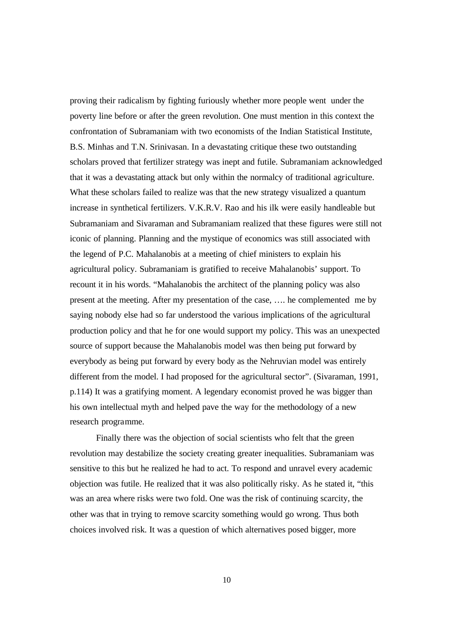proving their radicalism by fighting furiously whether more people went under the poverty line before or after the green revolution. One must mention in this context the confrontation of Subramaniam with two economists of the Indian Statistical Institute, B.S. Minhas and T.N. Srinivasan. In a devastating critique these two outstanding scholars proved that fertilizer strategy was inept and futile. Subramaniam acknowledged that it was a devastating attack but only within the normalcy of traditional agriculture. What these scholars failed to realize was that the new strategy visualized a quantum increase in synthetical fertilizers. V.K.R.V. Rao and his ilk were easily handleable but Subramaniam and Sivaraman and Subramaniam realized that these figures were still not iconic of planning. Planning and the mystique of economics was still associated with the legend of P.C. Mahalanobis at a meeting of chief ministers to explain his agricultural policy. Subramaniam is gratified to receive Mahalanobis' support. To recount it in his words. "Mahalanobis the architect of the planning policy was also present at the meeting. After my presentation of the case, …. he complemented me by saying nobody else had so far understood the various implications of the agricultural production policy and that he for one would support my policy. This was an unexpected source of support because the Mahalanobis model was then being put forward by everybody as being put forward by every body as the Nehruvian model was entirely different from the model. I had proposed for the agricultural sector". (Sivaraman, 1991, p.114) It was a gratifying moment. A legendary economist proved he was bigger than his own intellectual myth and helped pave the way for the methodology of a new research programme.

Finally there was the objection of social scientists who felt that the green revolution may destabilize the society creating greater inequalities. Subramaniam was sensitive to this but he realized he had to act. To respond and unravel every academic objection was futile. He realized that it was also politically risky. As he stated it, "this was an area where risks were two fold. One was the risk of continuing scarcity, the other was that in trying to remove scarcity something would go wrong. Thus both choices involved risk. It was a question of which alternatives posed bigger, more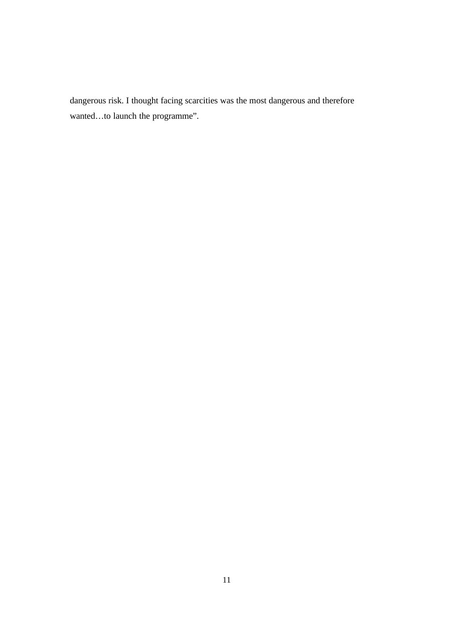dangerous risk. I thought facing scarcities was the most dangerous and therefore wanted…to launch the programme".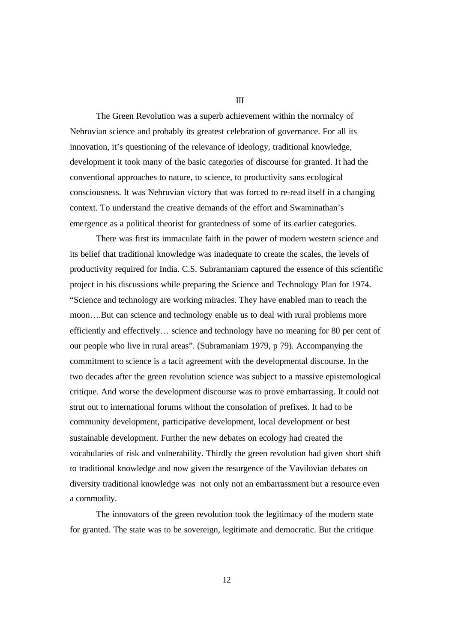The Green Revolution was a superb achievement within the normalcy of Nehruvian science and probably its greatest celebration of governance. For all its innovation, it's questioning of the relevance of ideology, traditional knowledge, development it took many of the basic categories of discourse for granted. It had the conventional approaches to nature, to science, to productivity sans ecological consciousness. It was Nehruvian victory that was forced to re-read itself in a changing context. To understand the creative demands of the effort and Swaminathan's emergence as a political theorist for grantedness of some of its earlier categories.

There was first its immaculate faith in the power of modern western science and its belief that traditional knowledge was inadequate to create the scales, the levels of productivity required for India. C.S. Subramaniam captured the essence of this scientific project in his discussions while preparing the Science and Technology Plan for 1974. "Science and technology are working miracles. They have enabled man to reach the moon….But can science and technology enable us to deal with rural problems more efficiently and effectively… science and technology have no meaning for 80 per cent of our people who live in rural areas". (Subramaniam 1979, p 79). Accompanying the commitment to science is a tacit agreement with the developmental discourse. In the two decades after the green revolution science was subject to a massive epistemological critique. And worse the development discourse was to prove embarrassing. It could not strut out to international forums without the consolation of prefixes. It had to be community development, participative development, local development or best sustainable development. Further the new debates on ecology had created the vocabularies of risk and vulnerability. Thirdly the green revolution had given short shift to traditional knowledge and now given the resurgence of the Vavilovian debates on diversity traditional knowledge was not only not an embarrassment but a resource even a commodity.

The innovators of the green revolution took the legitimacy of the modern state for granted. The state was to be sovereign, legitimate and democratic. But the critique

III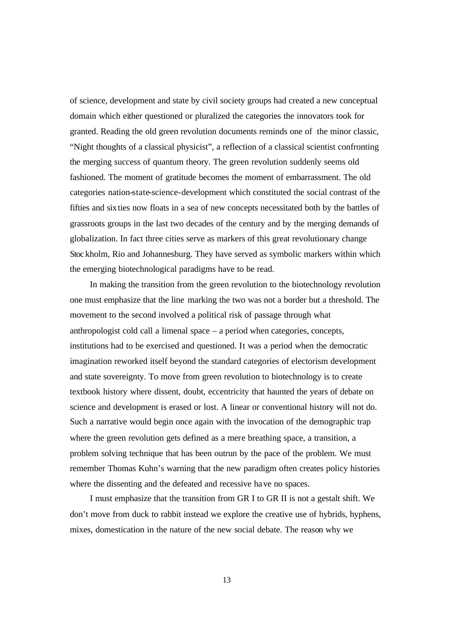of science, development and state by civil society groups had created a new conceptual domain which either questioned or pluralized the categories the innovators took for granted. Reading the old green revolution documents reminds one of the minor classic, "Night thoughts of a classical physicist", a reflection of a classical scientist confronting the merging success of quantum theory. The green revolution suddenly seems old fashioned. The moment of gratitude becomes the moment of embarrassment. The old categories nation-state-science-development which constituted the social contrast of the fifties and sixties now floats in a sea of new concepts necessitated both by the battles of grassroots groups in the last two decades of the century and by the merging demands of globalization. In fact three cities serve as markers of this great revolutionary change Stoc kholm, Rio and Johannesburg. They have served as symbolic markers within which the emerging biotechnological paradigms have to be read.

In making the transition from the green revolution to the biotechnology revolution one must emphasize that the line marking the two was not a border but a threshold. The movement to the second involved a political risk of passage through what anthropologist cold call a limenal space – a period when categories, concepts, institutions had to be exercised and questioned. It was a period when the democratic imagination reworked itself beyond the standard categories of electorism development and state sovereignty. To move from green revolution to biotechnology is to create textbook history where dissent, doubt, eccentricity that haunted the years of debate on science and development is erased or lost. A linear or conventional history will not do. Such a narrative would begin once again with the invocation of the demographic trap where the green revolution gets defined as a mere breathing space, a transition, a problem solving technique that has been outrun by the pace of the problem. We must remember Thomas Kuhn's warning that the new paradigm often creates policy histories where the dissenting and the defeated and recessive have no spaces.

I must emphasize that the transition from GR I to GR II is not a gestalt shift. We don't move from duck to rabbit instead we explore the creative use of hybrids, hyphens, mixes, domestication in the nature of the new social debate. The reason why we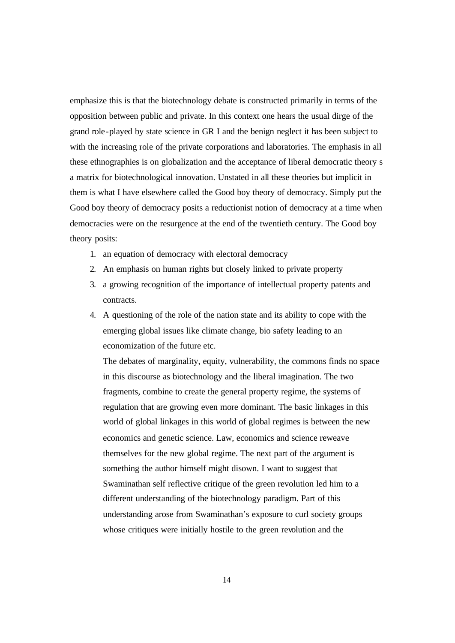emphasize this is that the biotechnology debate is constructed primarily in terms of the opposition between public and private. In this context one hears the usual dirge of the grand role-played by state science in GR I and the benign neglect it has been subject to with the increasing role of the private corporations and laboratories. The emphasis in all these ethnographies is on globalization and the acceptance of liberal democratic theory s a matrix for biotechnological innovation. Unstated in all these theories but implicit in them is what I have elsewhere called the Good boy theory of democracy. Simply put the Good boy theory of democracy posits a reductionist notion of democracy at a time when democracies were on the resurgence at the end of the twentieth century. The Good boy theory posits:

- 1. an equation of democracy with electoral democracy
- 2. An emphasis on human rights but closely linked to private property
- 3. a growing recognition of the importance of intellectual property patents and contracts.
- 4. A questioning of the role of the nation state and its ability to cope with the emerging global issues like climate change, bio safety leading to an economization of the future etc.

The debates of marginality, equity, vulnerability, the commons finds no space in this discourse as biotechnology and the liberal imagination. The two fragments, combine to create the general property regime, the systems of regulation that are growing even more dominant. The basic linkages in this world of global linkages in this world of global regimes is between the new economics and genetic science. Law, economics and science reweave themselves for the new global regime. The next part of the argument is something the author himself might disown. I want to suggest that Swaminathan self reflective critique of the green revolution led him to a different understanding of the biotechnology paradigm. Part of this understanding arose from Swaminathan's exposure to curl society groups whose critiques were initially hostile to the green revolution and the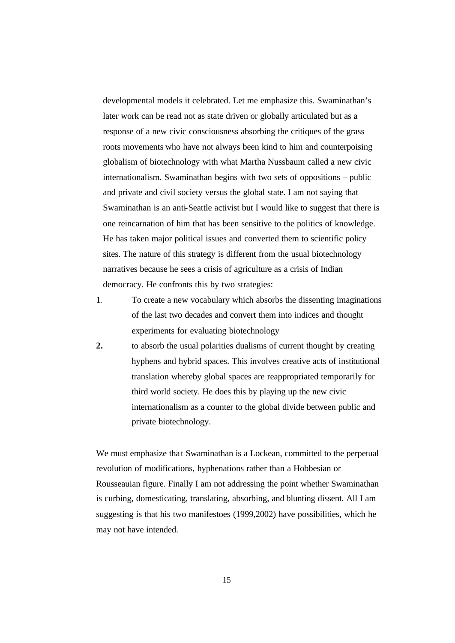developmental models it celebrated. Let me emphasize this. Swaminathan's later work can be read not as state driven or globally articulated but as a response of a new civic consciousness absorbing the critiques of the grass roots movements who have not always been kind to him and counterpoising globalism of biotechnology with what Martha Nussbaum called a new civic internationalism. Swaminathan begins with two sets of oppositions – public and private and civil society versus the global state. I am not saying that Swaminathan is an anti-Seattle activist but I would like to suggest that there is one reincarnation of him that has been sensitive to the politics of knowledge. He has taken major political issues and converted them to scientific policy sites. The nature of this strategy is different from the usual biotechnology narratives because he sees a crisis of agriculture as a crisis of Indian democracy. He confronts this by two strategies:

- 1. To create a new vocabulary which absorbs the dissenting imaginations of the last two decades and convert them into indices and thought experiments for evaluating biotechnology
- **2.** to absorb the usual polarities dualisms of current thought by creating hyphens and hybrid spaces. This involves creative acts of institutional translation whereby global spaces are reappropriated temporarily for third world society. He does this by playing up the new civic internationalism as a counter to the global divide between public and private biotechnology.

We must emphasize that Swaminathan is a Lockean, committed to the perpetual revolution of modifications, hyphenations rather than a Hobbesian or Rousseauian figure. Finally I am not addressing the point whether Swaminathan is curbing, domesticating, translating, absorbing, and blunting dissent. All I am suggesting is that his two manifestoes (1999,2002) have possibilities, which he may not have intended.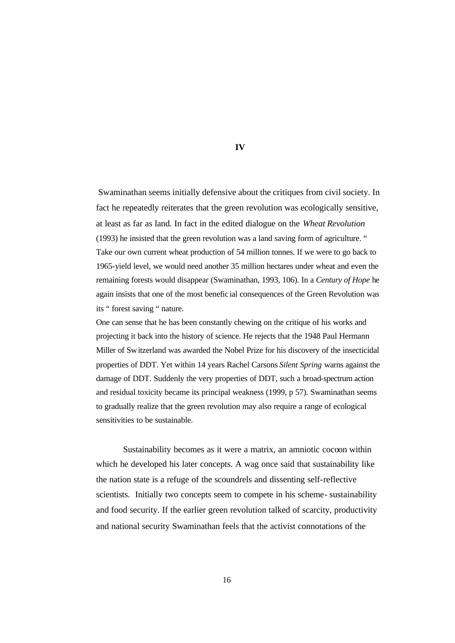Swaminathan seems initially defensive about the critiques from civil society. In fact he repeatedly reiterates that the green revolution was ecologically sensitive, at least as far as land. In fact in the edited dialogue on the *Wheat Revolution*  (1993) he insisted that the green revolution was a land saving form of agriculture. " Take our own current wheat production of 54 million tonnes. If we were to go back to 1965-yield level, we would need another 35 million hectares under wheat and even the remaining forests would disappear (Swaminathan, 1993, 106). In a *Century of Hope* he again insists that one of the most benefic ial consequences of the Green Revolution was its " forest saving " nature.

One can sense that he has been constantly chewing on the critique of his works and projecting it back into the history of science. He rejects that the 1948 Paul Hermann Miller of Switzerland was awarded the Nobel Prize for his discovery of the insecticidal properties of DDT. Yet within 14 years Rachel Carsons *Silent Spring* warns against the damage of DDT. Suddenly the very properties of DDT, such a broad-spectrum action and residual toxicity became its principal weakness (1999, p 57). Swaminathan seems to gradually realize that the green revolution may also require a range of ecological sensitivities to be sustainable.

Sustainability becomes as it were a matrix, an amniotic cocoon within which he developed his later concepts. A wag once said that sustainability like the nation state is a refuge of the scoundrels and dissenting self-reflective scientists. Initially two concepts seem to compete in his scheme- sustainability and food security. If the earlier green revolution talked of scarcity, productivity and national security Swaminathan feels that the activist connotations of the

## **IV**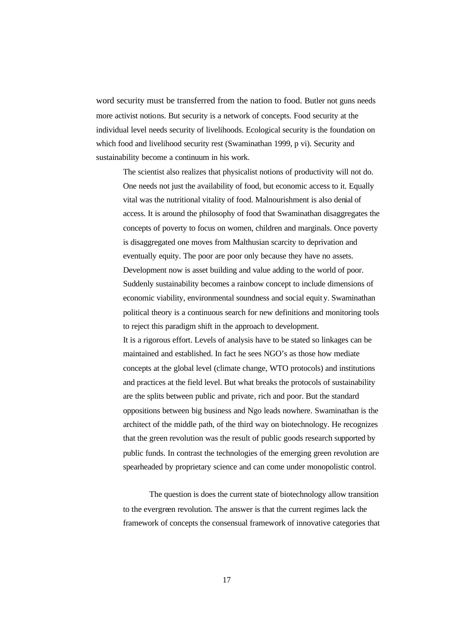word security must be transferred from the nation to food. Butler not guns needs more activist notions. But security is a network of concepts. Food security at the individual level needs security of livelihoods. Ecological security is the foundation on which food and livelihood security rest (Swaminathan 1999, p vi). Security and sustainability become a continuum in his work.

The scientist also realizes that physicalist notions of productivity will not do. One needs not just the availability of food, but economic access to it. Equally vital was the nutritional vitality of food. Malnourishment is also denial of access. It is around the philosophy of food that Swaminathan disaggregates the concepts of poverty to focus on women, children and marginals. Once poverty is disaggregated one moves from Malthusian scarcity to deprivation and eventually equity. The poor are poor only because they have no assets. Development now is asset building and value adding to the world of poor. Suddenly sustainability becomes a rainbow concept to include dimensions of economic viability, environmental soundness and social equity. Swaminathan political theory is a continuous search for new definitions and monitoring tools to reject this paradigm shift in the approach to development. It is a rigorous effort. Levels of analysis have to be stated so linkages can be maintained and established. In fact he sees NGO's as those how mediate concepts at the global level (climate change, WTO protocols) and institutions and practices at the field level. But what breaks the protocols of sustainability are the splits between public and private, rich and poor. But the standard oppositions between big business and Ngo leads nowhere. Swaminathan is the architect of the middle path, of the third way on biotechnology. He recognizes that the green revolution was the result of public goods research supported by public funds. In contrast the technologies of the emerging green revolution are spearheaded by proprietary science and can come under monopolistic control.

The question is does the current state of biotechnology allow transition to the evergreen revolution. The answer is that the current regimes lack the framework of concepts the consensual framework of innovative categories that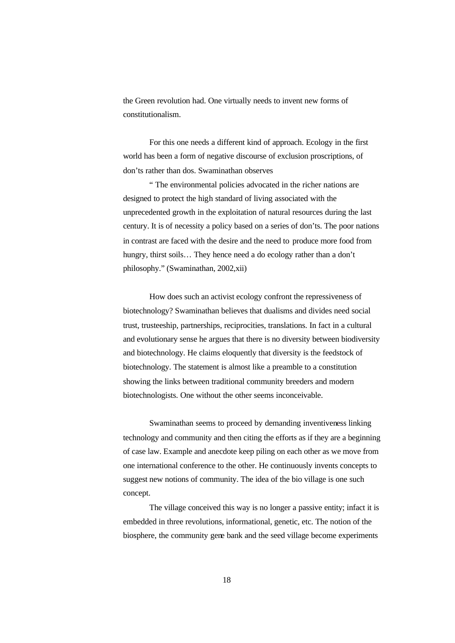the Green revolution had. One virtually needs to invent new forms of constitutionalism.

For this one needs a different kind of approach. Ecology in the first world has been a form of negative discourse of exclusion proscriptions, of don'ts rather than dos. Swaminathan observes

" The environmental policies advocated in the richer nations are designed to protect the high standard of living associated with the unprecedented growth in the exploitation of natural resources during the last century. It is of necessity a policy based on a series of don'ts. The poor nations in contrast are faced with the desire and the need to produce more food from hungry, thirst soils... They hence need a do ecology rather than a don't philosophy." (Swaminathan, 2002,xii)

How does such an activist ecology confront the repressiveness of biotechnology? Swaminathan believes that dualisms and divides need social trust, trusteeship, partnerships, reciprocities, translations. In fact in a cultural and evolutionary sense he argues that there is no diversity between biodiversity and biotechnology. He claims eloquently that diversity is the feedstock of biotechnology. The statement is almost like a preamble to a constitution showing the links between traditional community breeders and modern biotechnologists. One without the other seems inconceivable.

Swaminathan seems to proceed by demanding inventiveness linking technology and community and then citing the efforts as if they are a beginning of case law. Example and anecdote keep piling on each other as we move from one international conference to the other. He continuously invents concepts to suggest new notions of community. The idea of the bio village is one such concept.

The village conceived this way is no longer a passive entity; infact it is embedded in three revolutions, informational, genetic, etc. The notion of the biosphere, the community gene bank and the seed village become experiments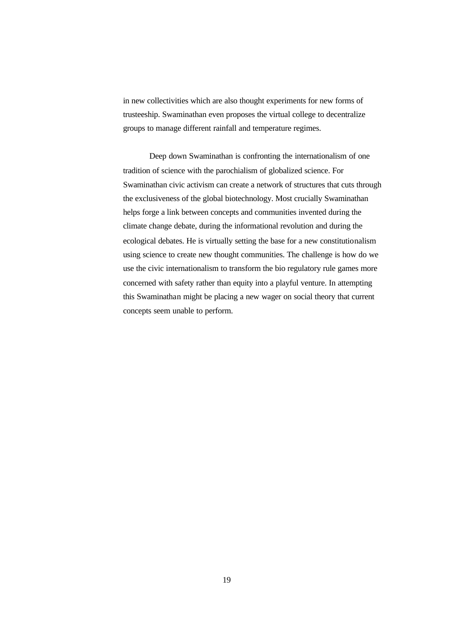in new collectivities which are also thought experiments for new forms of trusteeship. Swaminathan even proposes the virtual college to decentralize groups to manage different rainfall and temperature regimes.

Deep down Swaminathan is confronting the internationalism of one tradition of science with the parochialism of globalized science. For Swaminathan civic activism can create a network of structures that cuts through the exclusiveness of the global biotechnology. Most crucially Swaminathan helps forge a link between concepts and communities invented during the climate change debate, during the informational revolution and during the ecological debates. He is virtually setting the base for a new constitutionalism using science to create new thought communities. The challenge is how do we use the civic internationalism to transform the bio regulatory rule games more concerned with safety rather than equity into a playful venture. In attempting this Swaminathan might be placing a new wager on social theory that current concepts seem unable to perform.